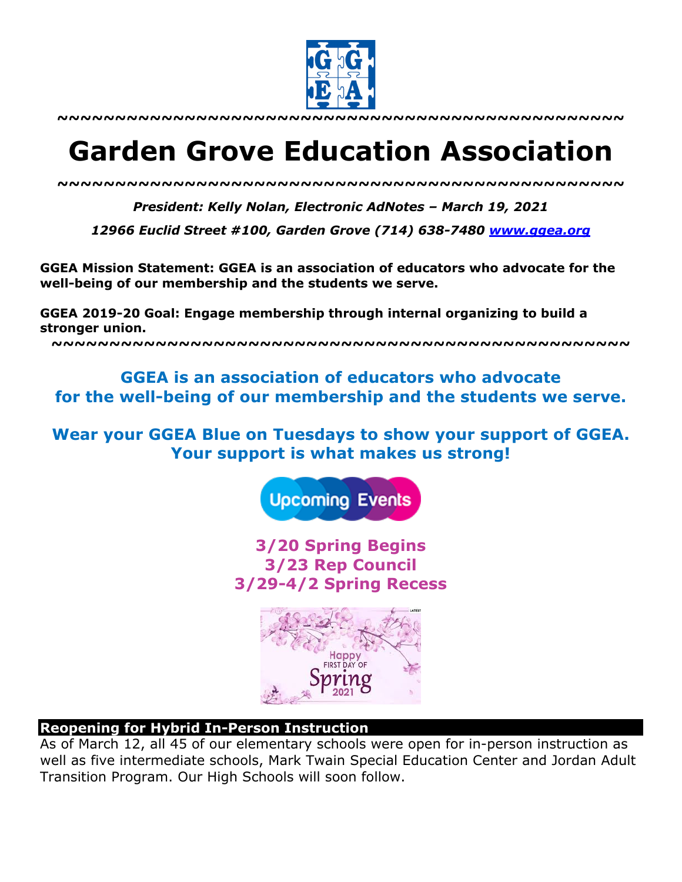

**~~~~~~~~~~~~~~~~~~~~~~~~~~~~~~~~~~~~~~~~~~~~~~~~~**

# **Garden Grove Education Association**

*~~~~~~~~~~~~~~~~~~~~~~~~~~~~~~~~~~~~~~~~~~~~~~~~~*

*President: Kelly Nolan, Electronic AdNotes – March 19, 2021*

*12966 Euclid Street #100, Garden Grove (714) 638-7480 www.ggea.org*

**GGEA Mission Statement: GGEA is an association of educators who advocate for the well-being of our membership and the students we serve.** 

**GGEA 2019-20 Goal: Engage membership through internal organizing to build a stronger union.**

**~~~~~~~~~~~~~~~~~~~~~~~~~~~~~~~~~~~~~~~~~~~~~~~~~~**

**GGEA is an association of educators who advocate for the well-being of our membership and the students we serve.**

**Wear your GGEA Blue on Tuesdays to show your support of GGEA. Your support is what makes us strong!**



**3/20 Spring Begins 3/23 Rep Council 3/29-4/2 Spring Recess** 



#### **Reopening for Hybrid In-Person Instruction**

As of March 12, all 45 of our elementary schools were open for in-person instruction as well as five intermediate schools, Mark Twain Special Education Center and Jordan Adult Transition Program. Our High Schools will soon follow.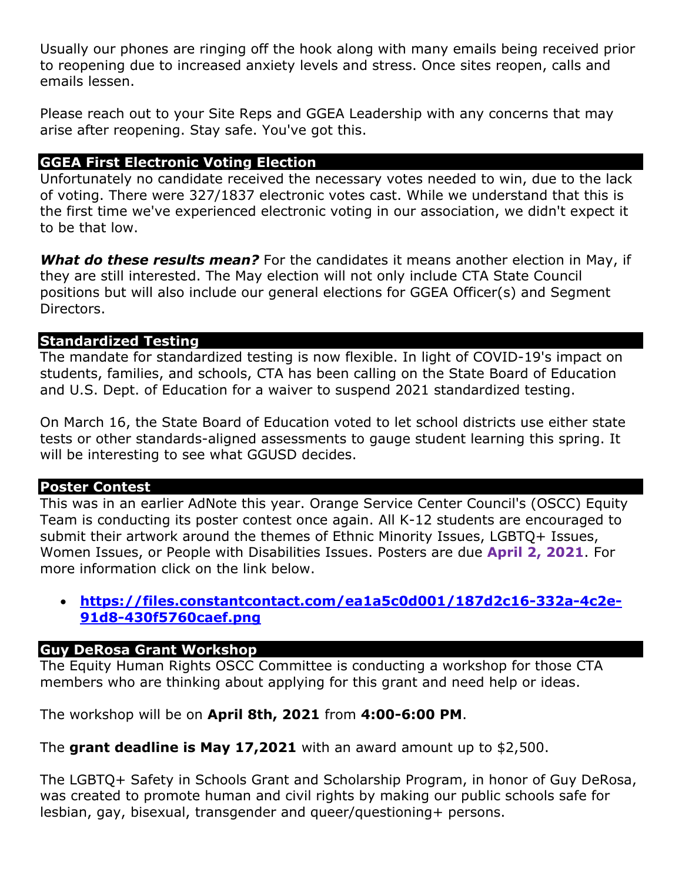Usually our phones are ringing off the hook along with many emails being received prior to reopening due to increased anxiety levels and stress. Once sites reopen, calls and emails lessen.

Please reach out to your Site Reps and GGEA Leadership with any concerns that may arise after reopening. Stay safe. You've got this.

### **GGEA First Electronic Voting Election**

Unfortunately no candidate received the necessary votes needed to win, due to the lack of voting. There were 327/1837 electronic votes cast. While we understand that this is the first time we've experienced electronic voting in our association, we didn't expect it to be that low.

*What do these results mean?* For the candidates it means another election in May, if they are still interested. The May election will not only include CTA State Council positions but will also include our general elections for GGEA Officer(s) and Segment Directors.

#### **Standardized Testing**

The mandate for standardized testing is now flexible. In light of COVID-19's impact on students, families, and schools, CTA has been calling on the State Board of Education and U.S. Dept. of Education for a waiver to suspend 2021 standardized testing.

On March 16, the State Board of Education voted to let school districts use either state tests or other standards-aligned assessments to gauge student learning this spring. It will be interesting to see what GGUSD decides.

#### **Poster Contest**

This was in an earlier AdNote this year. Orange Service Center Council's (OSCC) Equity Team is conducting its poster contest once again. All K-12 students are encouraged to submit their artwork around the themes of Ethnic Minority Issues, LGBTQ+ Issues, Women Issues, or People with Disabilities Issues. Posters are due **April 2, 2021**. For more information click on the link below.

## • **https://files.constantcontact.com/ea1a5c0d001/187d2c16-332a-4c2e-91d8-430f5760caef.png**

#### **Guy DeRosa Grant Workshop**

The Equity Human Rights OSCC Committee is conducting a workshop for those CTA members who are thinking about applying for this grant and need help or ideas.

The workshop will be on **April 8th, 2021** from **4:00-6:00 PM**.

The **grant deadline is May 17,2021** with an award amount up to \$2,500.

The LGBTQ+ Safety in Schools Grant and Scholarship Program, in honor of Guy DeRosa, was created to promote human and civil rights by making our public schools safe for lesbian, gay, bisexual, transgender and queer/questioning+ persons.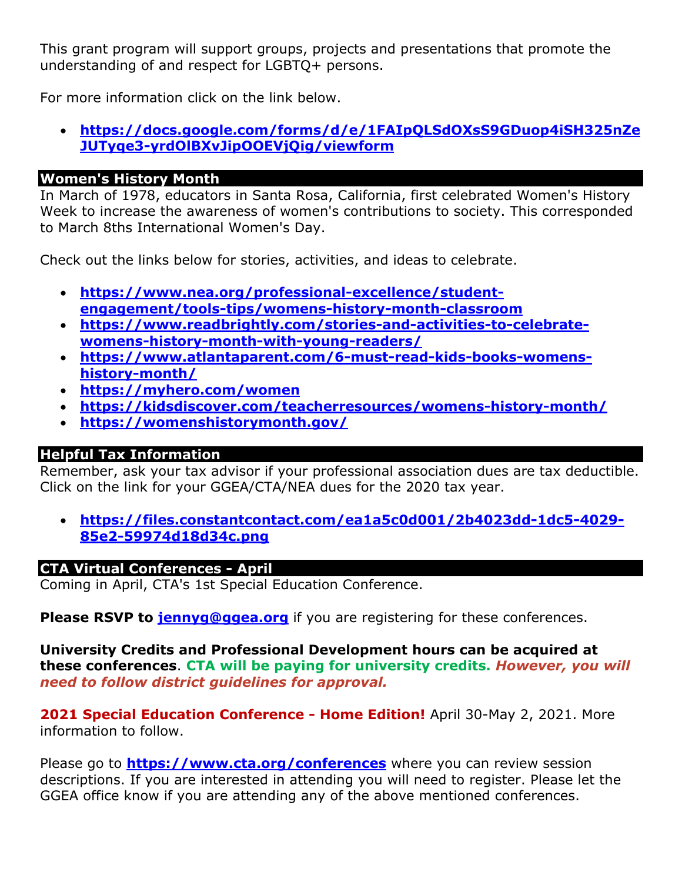This grant program will support groups, projects and presentations that promote the understanding of and respect for LGBTQ+ persons.

For more information click on the link below.

• **https://docs.google.com/forms/d/e/1FAIpQLSdOXsS9GDuop4iSH325nZe JUTyqe3-yrdOlBXvJipOOEVjQig/viewform**

## **Women's History Month**

In March of 1978, educators in Santa Rosa, California, first celebrated Women's History Week to increase the awareness of women's contributions to society. This corresponded to March 8ths International Women's Day.

Check out the links below for stories, activities, and ideas to celebrate.

- **https://www.nea.org/professional-excellence/studentengagement/tools-tips/womens-history-month-classroom**
- **https://www.readbrightly.com/stories-and-activities-to-celebratewomens-history-month-with-young-readers/**
- **https://www.atlantaparent.com/6-must-read-kids-books-womenshistory-month/**
- **https://myhero.com/women**
- **https://kidsdiscover.com/teacherresources/womens-history-month/**
- **https://womenshistorymonth.gov/**

## **Helpful Tax Information**

Remember, ask your tax advisor if your professional association dues are tax deductible. Click on the link for your GGEA/CTA/NEA dues for the 2020 tax year.

• **https://files.constantcontact.com/ea1a5c0d001/2b4023dd-1dc5-4029- 85e2-59974d18d34c.png**

#### **CTA Virtual Conferences - April**

Coming in April, CTA's 1st Special Education Conference.

**Please RSVP to jennyg@ggea.org** if you are registering for these conferences.

**University Credits and Professional Development hours can be acquired at these conferences**. **CTA will be paying for university credits.** *However, you will need to follow district guidelines for approval.*

**2021 Special Education Conference - Home Edition!** April 30-May 2, 2021. More information to follow.

Please go to **https://www.cta.org/conferences** where you can review session descriptions. If you are interested in attending you will need to register. Please let the GGEA office know if you are attending any of the above mentioned conferences.